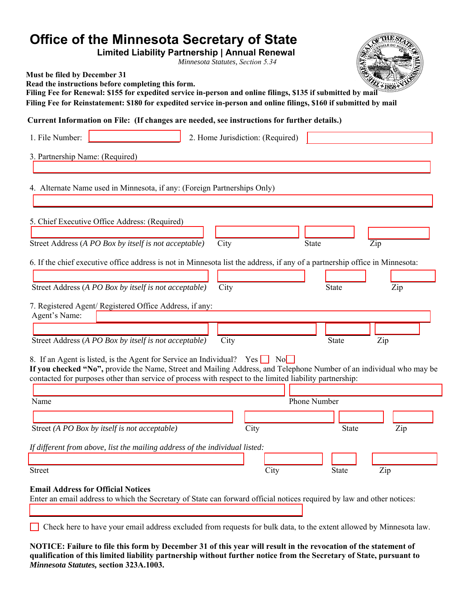| Office of the Minnesota Secretary of State<br><b>Limited Liability Partnership   Annual Renewal</b><br>Minnesota Statutes, Section 5.34                                                                                                                                                                                  |
|--------------------------------------------------------------------------------------------------------------------------------------------------------------------------------------------------------------------------------------------------------------------------------------------------------------------------|
| Must be filed by December 31<br>Read the instructions before completing this form.<br>Filing Fee for Renewal: \$155 for expedited service in-person and online filings, \$135 if submitted by mail<br>Filing Fee for Reinstatement: \$180 for expedited service in-person and online filings, \$160 if submitted by mail |
| Current Information on File: (If changes are needed, see instructions for further details.)                                                                                                                                                                                                                              |
| 1. File Number:<br>2. Home Jurisdiction: (Required)                                                                                                                                                                                                                                                                      |
| 3. Partnership Name: (Required)                                                                                                                                                                                                                                                                                          |
| 4. Alternate Name used in Minnesota, if any: (Foreign Partnerships Only)                                                                                                                                                                                                                                                 |
| 5. Chief Executive Office Address: (Required)                                                                                                                                                                                                                                                                            |
| Street Address (A PO Box by itself is not acceptable)<br>City<br><b>State</b><br>Zip                                                                                                                                                                                                                                     |
| 6. If the chief executive office address is not in Minnesota list the address, if any of a partnership office in Minnesota:                                                                                                                                                                                              |
| Street Address (A PO Box by itself is not acceptable)<br>City<br><b>State</b><br>Zip                                                                                                                                                                                                                                     |
| 7. Registered Agent/ Registered Office Address, if any:<br>Agent's Name:                                                                                                                                                                                                                                                 |
| Street Address (A PO Box by itself is not acceptable)<br>City<br><b>State</b><br>Zip                                                                                                                                                                                                                                     |
| 8. If an Agent is listed, is the Agent for Service an Individual? Yes $\Box$ No<br>If you checked "No", provide the Name, Street and Mailing Address, and Telephone Number of an individual who may be<br>contacted for purposes other than service of process with respect to the limited liability partnership:        |
| Phone Number<br>Name                                                                                                                                                                                                                                                                                                     |
| Street (A PO Box by itself is not acceptable)<br>City<br><b>State</b><br>Zip                                                                                                                                                                                                                                             |
| If different from above, list the mailing address of the individual listed:                                                                                                                                                                                                                                              |
| City<br><b>Street</b><br>Zip<br><b>State</b>                                                                                                                                                                                                                                                                             |
| <b>Email Address for Official Notices</b><br>Enter an email address to which the Secretary of State can forward official notices required by law and other notices:                                                                                                                                                      |
| Check here to have your email address excluded from requests for bulk data, to the extent allowed by Minnesota law.                                                                                                                                                                                                      |

**NOTICE: Failure to file this form by December 31 of this year will result in the revocation of the statement of qualification of this limited liability partnership without further notice from the Secretary of State, pursuant to**  *Minnesota Statutes,* **section 323A.1003.**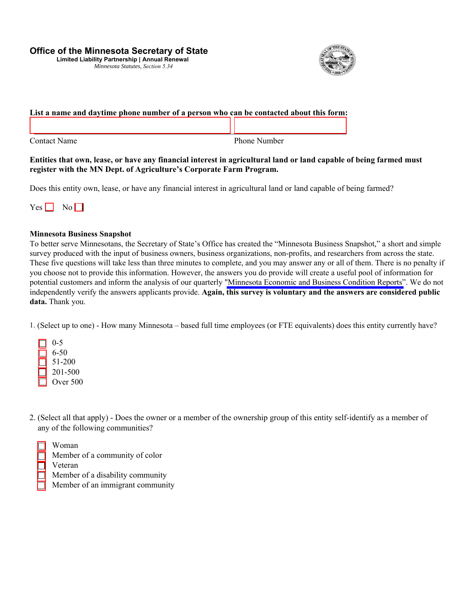### **Office of the Minnesota Secretary of State**

**Limited Liability Partnership | Annual Renewal** *Minnesota Statutes, Section 5.34* 



# **List a name and daytime phone number of a person who can be contacted about this form:**

Contact Name

Phone Number

#### **Entities that own, lease, or have any financial interest in agricultural land or land capable of being farmed must register with the MN Dept. of Agriculture's Corporate Farm Program.**

Does this entity own, lease, or have any financial interest in agricultural land or land capable of being farmed?



#### **Minnesota Business Snapshot**

To better serve Minnesotans, the Secretary of State's Office has created the "Minnesota Business Snapshot," a short and simple survey produced with the input of business owners, business organizations, non-profits, and researchers from across the state. These five questions will take less than three minutes to complete, and you may answer any or all of them. There is no penalty if you choose not to provide this information. However, the answers you do provide will create a useful pool of information for potential customers and inform the analysis of our quarterly ["Minnesota Economic and Business Condition Reports"](http://www.sos.state.mn.us/business-liens/economic-and-business-condition-reports/). We do not independently verify the answers applicants provide. **Again, this survey is voluntary and the answers are considered public**  data. Thank you.

1. (Select up to one) - How many Minnesota – based full time employees (or FTE equivalents) does this entity currently have?



2. (Select all that apply) - Does the owner or a member of the ownership group of this entity self-identify as a member of any of the following communities?

|  | Woman |
|--|-------|
|  |       |

| Member of a community of color   |
|----------------------------------|
| Veteran                          |
| Member of a disability community |
| Member of an immigrant community |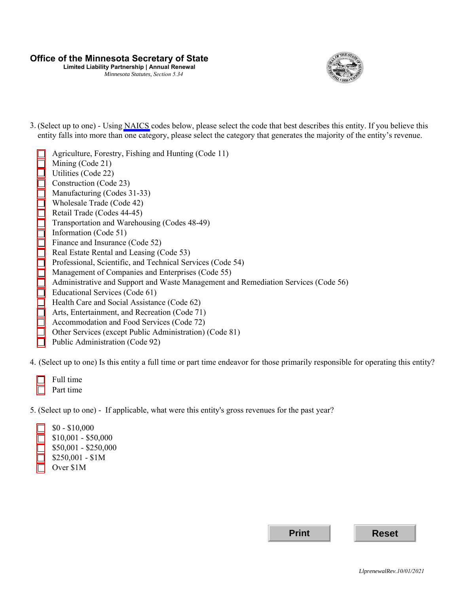## **Office of the Minnesota Secretary of State**

**Limited Liability Partnership | Annual Renewal**  *Minnesota Statutes, Section 5.34* 



3. (Select up to one) - Using [NAICS](https://www.naics.com/search/) codes below, please select the code that best describes this entity. If you believe this entity falls into more than one category, please select the category that generates the majority of the entity's revenue.

|                                                             | Agriculture, Forestry, Fishing and Hunting (Code 11)                               |
|-------------------------------------------------------------|------------------------------------------------------------------------------------|
|                                                             | Mining (Code 21)                                                                   |
|                                                             | Utilities (Code 22)                                                                |
|                                                             | Construction (Code 23)                                                             |
|                                                             | Manufacturing (Codes 31-33)                                                        |
|                                                             | Wholesale Trade (Code 42)                                                          |
|                                                             | Retail Trade (Codes 44-45)                                                         |
|                                                             | Transportation and Warehousing (Codes 48-49)                                       |
| <u>Sicher Sicher der Sicher der Sicher der Sicher der E</u> | Information (Code 51)                                                              |
|                                                             | Finance and Insurance (Code 52)                                                    |
|                                                             | Real Estate Rental and Leasing (Code 53)                                           |
|                                                             | Professional, Scientific, and Technical Services (Code 54)                         |
|                                                             | Management of Companies and Enterprises (Code 55)                                  |
|                                                             | Administrative and Support and Waste Management and Remediation Services (Code 56) |
|                                                             | Educational Services (Code 61)                                                     |
|                                                             | Health Care and Social Assistance (Code 62)                                        |
|                                                             | Arts, Entertainment, and Recreation (Code 71)                                      |
|                                                             | Accommodation and Food Services (Code 72)                                          |
|                                                             | Other Services (except Public Administration) (Code 81)                            |
|                                                             | Public Administration (Code 92)                                                    |

4. (Select up to one) Is this entity a full time or part time endeavor for those primarily responsible for operating this entity?

| Full time |
|-----------|
| Part time |

5. (Select up to one) - If applicable, what were this entity's gross revenues for the past year?



\$10,001 - \$50,000 \$50,001 - \$250,000 \$250,001 - \$1M Over \$1M

**Print Reset**